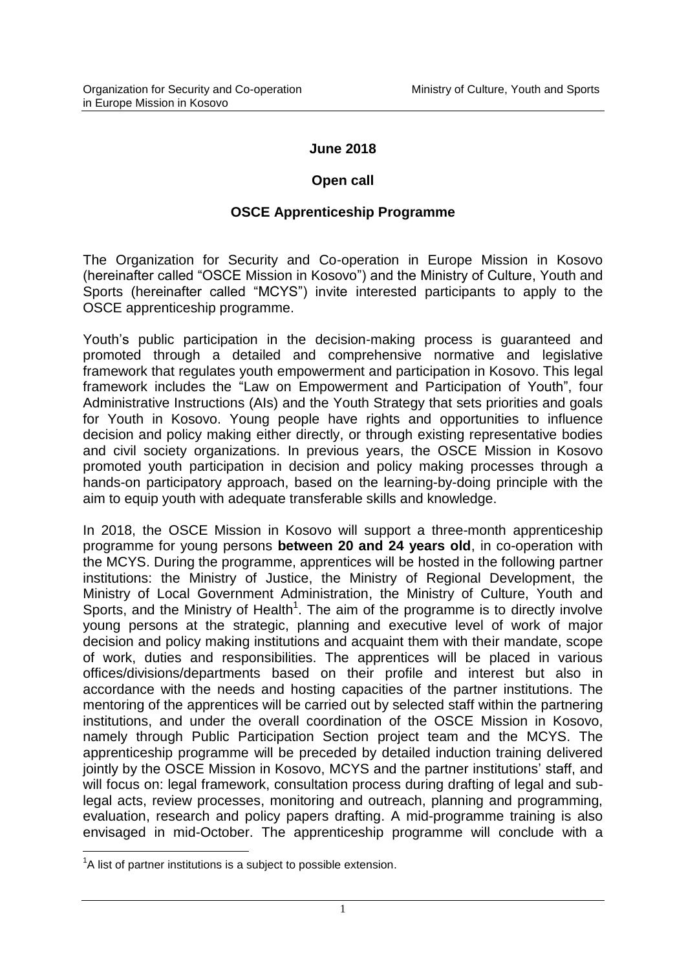#### **June 2018**

#### **Open call**

#### **OSCE Apprenticeship Programme**

The Organization for Security and Co-operation in Europe Mission in Kosovo (hereinafter called "OSCE Mission in Kosovo") and the Ministry of Culture, Youth and Sports (hereinafter called "MCYS") invite interested participants to apply to the OSCE apprenticeship programme.

Youth's public participation in the decision-making process is guaranteed and promoted through a detailed and comprehensive normative and legislative framework that regulates youth empowerment and participation in Kosovo. This legal framework includes the "Law on Empowerment and Participation of Youth", four Administrative Instructions (AIs) and the Youth Strategy that sets priorities and goals for Youth in Kosovo. Young people have rights and opportunities to influence decision and policy making either directly, or through existing representative bodies and civil society organizations. In previous years, the OSCE Mission in Kosovo promoted youth participation in decision and policy making processes through a hands-on participatory approach, based on the learning-by-doing principle with the aim to equip youth with adequate transferable skills and knowledge.

In 2018, the OSCE Mission in Kosovo will support a three-month apprenticeship programme for young persons **between 20 and 24 years old**, in co-operation with the MCYS. During the programme, apprentices will be hosted in the following partner institutions: the Ministry of Justice, the Ministry of Regional Development, the Ministry of Local Government Administration, the Ministry of Culture, Youth and Sports, and the Ministry of Health<sup>1</sup>. The aim of the programme is to directly involve young persons at the strategic, planning and executive level of work of major decision and policy making institutions and acquaint them with their mandate, scope of work, duties and responsibilities. The apprentices will be placed in various offices/divisions/departments based on their profile and interest but also in accordance with the needs and hosting capacities of the partner institutions. The mentoring of the apprentices will be carried out by selected staff within the partnering institutions, and under the overall coordination of the OSCE Mission in Kosovo, namely through Public Participation Section project team and the MCYS. The apprenticeship programme will be preceded by detailed induction training delivered jointly by the OSCE Mission in Kosovo, MCYS and the partner institutions' staff, and will focus on: legal framework, consultation process during drafting of legal and sublegal acts, review processes, monitoring and outreach, planning and programming, evaluation, research and policy papers drafting. A mid-programme training is also envisaged in mid-October. The apprenticeship programme will conclude with a

1

 ${}^{1}$ A list of partner institutions is a subject to possible extension.